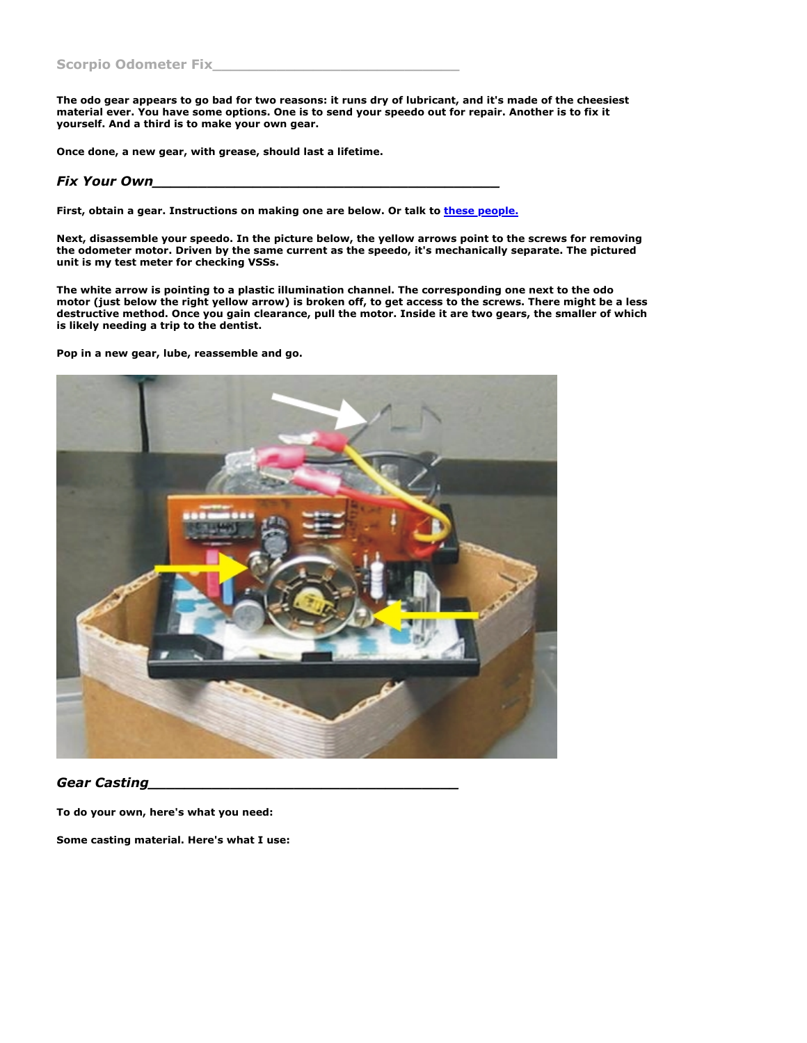**The odo gear appears to go bad for two reasons: it runs dry of lubricant, and it's made of the cheesiest material ever. You have some options. One is to send your speedo out for repair. Another is to fix it yourself. And a third is to make your own gear.**

**Once done, a new gear, with grease, should last a lifetime.**

## *Fix Your Own\_\_\_\_\_\_\_\_\_\_\_\_\_\_\_\_\_\_\_\_\_\_\_\_\_\_\_\_\_\_\_\_\_\_\_\_\_\_*

**First, obtain a gear. Instructions on making one are below. Or talk to [these people.](http://www.speedometergears.com/)**

**Next, disassemble your speedo. In the picture below, the yellow arrows point to the screws for removing the odometer motor. Driven by the same current as the speedo, it's mechanically separate. The pictured unit is my test meter for checking VSSs.**

**The white arrow is pointing to a plastic illumination channel. The corresponding one next to the odo motor (just below the right yellow arrow) is broken off, to get access to the screws. There might be a less destructive method. Once you gain clearance, pull the motor. Inside it are two gears, the smaller of which is likely needing a trip to the dentist.**

**Pop in a new gear, lube, reassemble and go.**



*Gear Casting\_\_\_\_\_\_\_\_\_\_\_\_\_\_\_\_\_\_\_\_\_\_\_\_\_\_\_\_\_\_\_\_\_\_*

**To do your own, here's what you need:**

**Some casting material. Here's what I use:**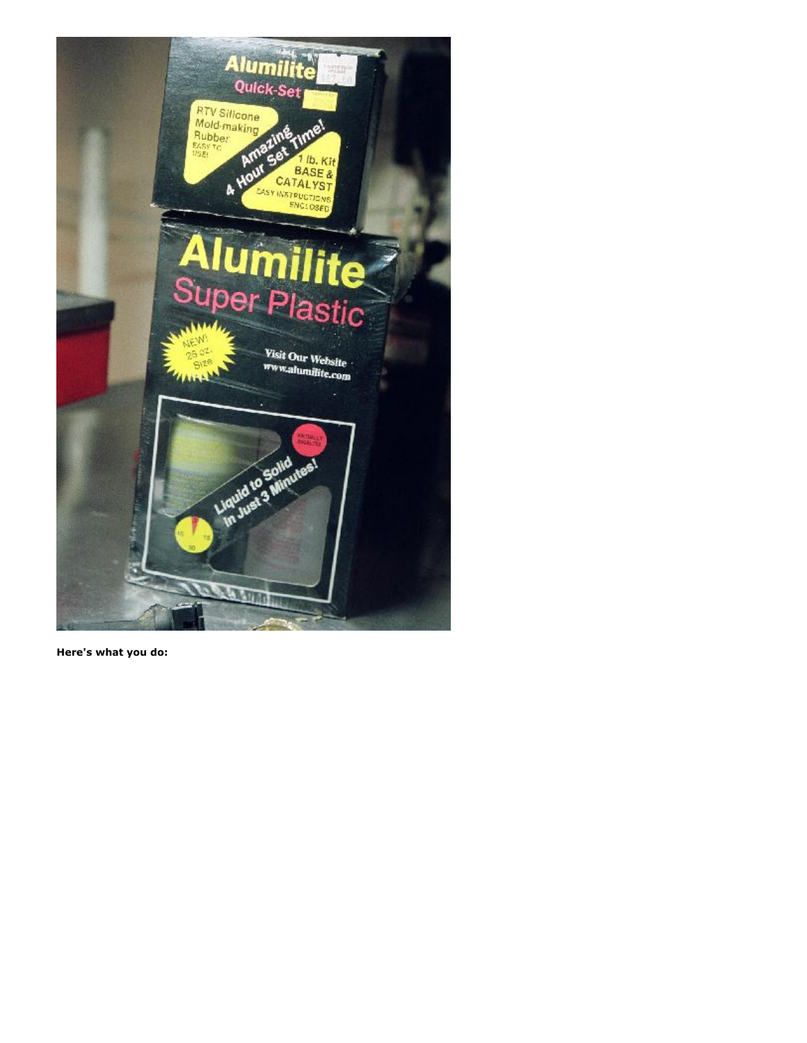

**Here's what you do:**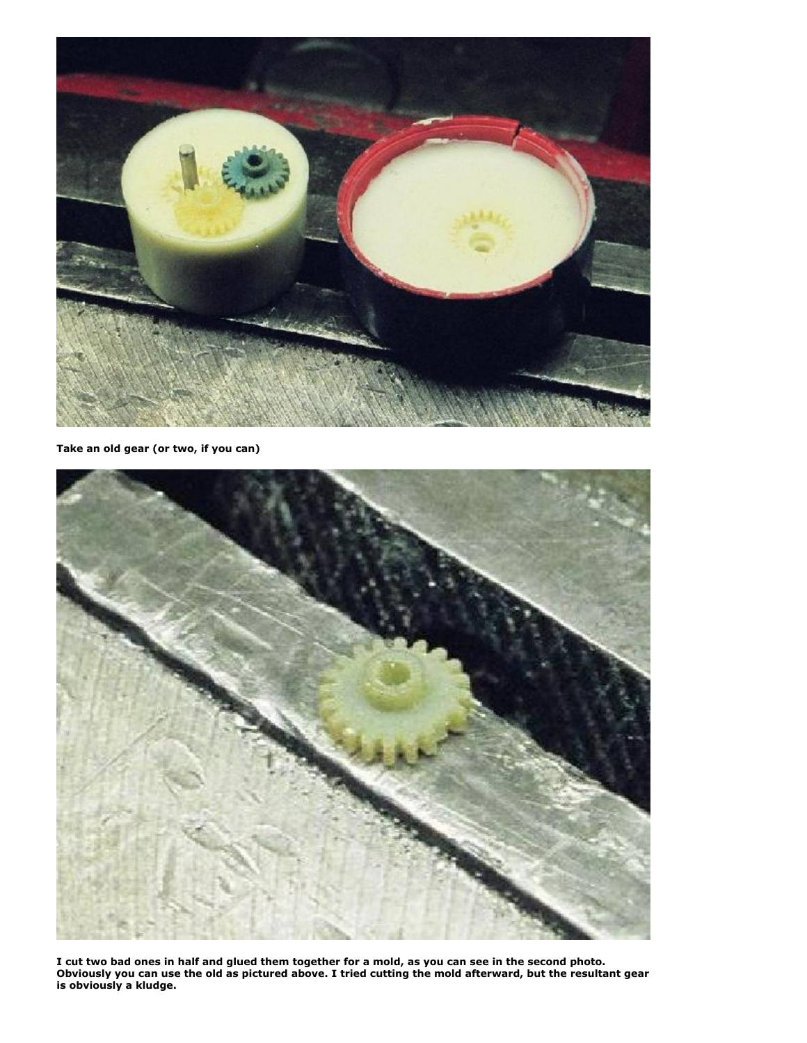

**Take an old gear (or two, if you can)**



**I cut two bad ones in half and glued them together for a mold, as you can see in the second photo. Obviously you can use the old as pictured above. I tried cutting the mold afterward, but the resultant gear is obviously a kludge.**